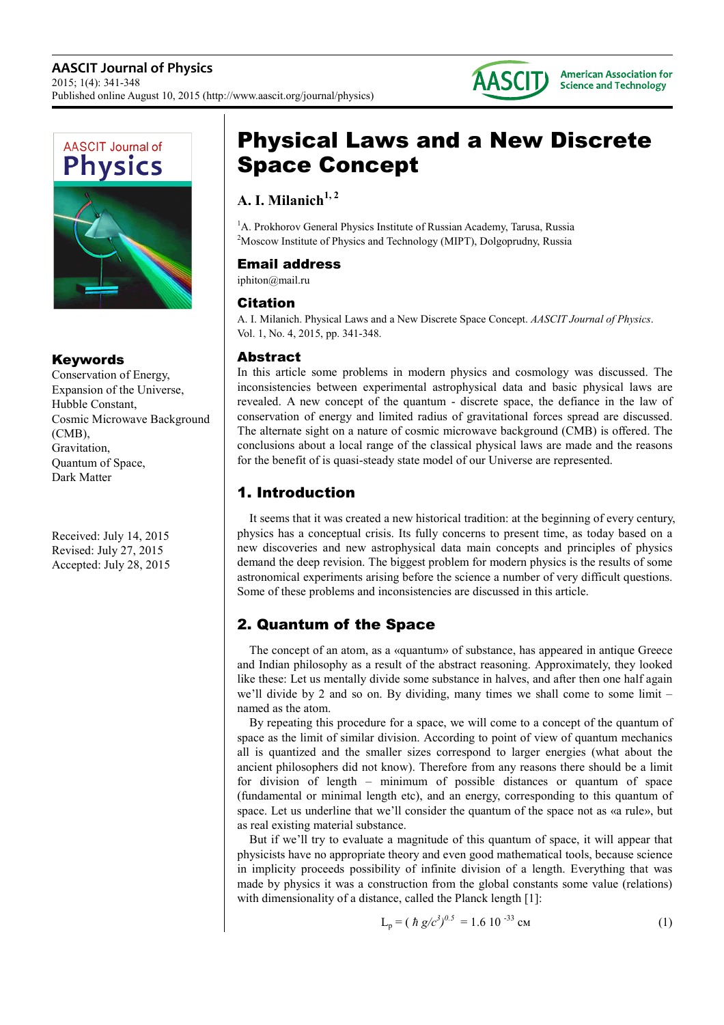



#### Keywords

Conservation of Energy, Expansion of the Universe, Hubble Constant, Cosmic Microwave Background (CMB), Gravitation, Quantum of Space, Dark Matter

Received: July 14, 2015 Revised: July 27, 2015 Accepted: July 28, 2015

# Physical Laws and a New Discrete Space Concept

# **A. I. Milanich1, 2**

<sup>1</sup>A. Prokhorov General Physics Institute of Russian Academy, Tarusa, Russia <sup>2</sup>Moscow Institute of Physics and Technology (MIPT), Dolgoprudny, Russia

## Email address

iphiton@mail.ru

#### Citation

A. I. Milanich. Physical Laws and a New Discrete Space Concept. *AASCIT Journal of Physics*. Vol. 1, No. 4, 2015, pp. 341-348.

## Abstract

In this article some problems in modern physics and cosmology was discussed. The inconsistencies between experimental astrophysical data and basic physical laws are revealed. A new concept of the quantum - discrete space, the defiance in the law of conservation of energy and limited radius of gravitational forces spread are discussed. The alternate sight on a nature of cosmic microwave background (CMB) is offered. The conclusions about a local range of the classical physical laws are made and the reasons for the benefit of is quasi-steady state model of our Universe are represented.

# 1. Introduction

It seems that it was created a new historical tradition: at the beginning of every century, physics has a conceptual crisis. Its fully concerns to present time, as today based on a new discoveries and new astrophysical data main concepts and principles of physics demand the deep revision. The biggest problem for modern physics is the results of some astronomical experiments arising before the science a number of very difficult questions. Some of these problems and inconsistencies are discussed in this article.

# 2. Quantum of the Space

The concept of an atom, as a «quantum» of substance, has appeared in antique Greece and Indian philosophy as a result of the abstract reasoning. Approximately, they looked like these: Let us mentally divide some substance in halves, and after then one half again we'll divide by 2 and so on. By dividing, many times we shall come to some limit – named as the atom.

By repeating this procedure for a space, we will come to a concept of the quantum of space as the limit of similar division. According to point of view of quantum mechanics all is quantized and the smaller sizes correspond to larger energies (what about the ancient philosophers did not know). Therefore from any reasons there should be a limit for division of length – minimum of possible distances or quantum of space (fundamental or minimal length etc), and an energy, corresponding to this quantum of space. Let us underline that we'll consider the quantum of the space not as «a rule», but as real existing material substance.

But if we'll try to evaluate a magnitude of this quantum of space, it will appear that physicists have no appropriate theory and even good mathematical tools, because science in implicity proceeds possibility of infinite division of a length. Everything that was made by physics it was a construction from the global constants some value (relations) with dimensionality of a distance, called the Planck length [1]:

$$
L_p = (\hbar g/c^3)^{0.5} = 1.6 \, 10^{-33} \, \text{cm} \tag{1}
$$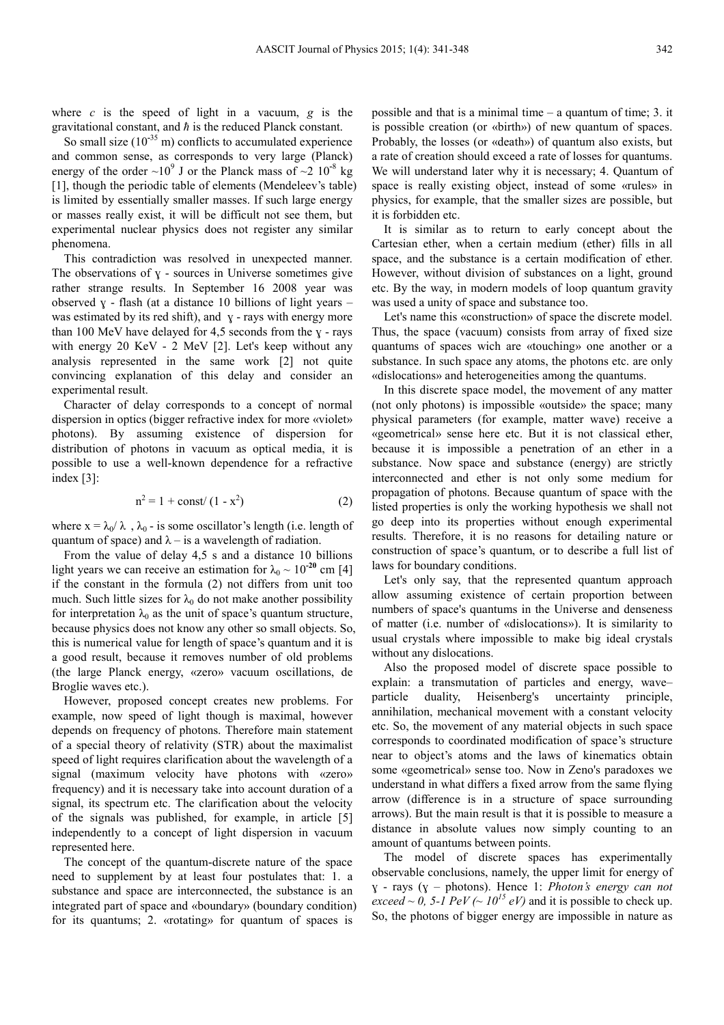where *c* is the speed of light in a vacuum, *g* is the gravitational constant, and *ħ* is the reduced Planck constant.

So small size (10<sup>-35</sup> m) conflicts to accumulated experience and common sense, as corresponds to very large (Planck) energy of the order  $\sim 10^9$  J or the Planck mass of  $\sim 2 \, 10^{-8}$  kg [1], though the periodic table of elements (Mendeleev's table) is limited by essentially smaller masses. If such large energy or masses really exist, it will be difficult not see them, but experimental nuclear physics does not register any similar phenomena.

This contradiction was resolved in unexpected manner. The observations of  $y$  - sources in Universe sometimes give rather strange results. In September 16 2008 year was observed  $y$  - flash (at a distance 10 billions of light years – was estimated by its red shift), and  $y - rays$  with energy more than 100 MeV have delayed for 4,5 seconds from the  $y - rays$ with energy 20 KeV - 2 MeV [2]. Let's keep without any analysis represented in the same work [2] not quite convincing explanation of this delay and consider an experimental result.

Character of delay corresponds to a concept of normal dispersion in optics (bigger refractive index for more «violet» photons). By assuming existence of dispersion for distribution of photons in vacuum as optical media, it is possible to use a well-known dependence for a refractive index [3]:

$$
n^2 = 1 + const/(1 - x^2)
$$
 (2)

where  $x = \lambda_0 / \lambda$ ,  $\lambda_0$  - is some oscillator's length (i.e. length of quantum of space) and  $\lambda$  – is a wavelength of radiation.

From the value of delay 4,5 s and a distance 10 billions light years we can receive an estimation for  $\lambda_0 \sim 10^{-20}$  cm [4] if the constant in the formula (2) not differs from unit too much. Such little sizes for  $\lambda_0$  do not make another possibility for interpretation  $\lambda_0$  as the unit of space's quantum structure, because physics does not know any other so small objects. So, this is numerical value for length of space's quantum and it is a good result, because it removes number of old problems (the large Planck energy, «zero» vacuum oscillations, de Broglie waves etc.).

However, proposed concept creates new problems. For example, now speed of light though is maximal, however depends on frequency of photons. Therefore main statement of a special theory of relativity (STR) about the maximalist speed of light requires clarification about the wavelength of a signal (maximum velocity have photons with «zero» frequency) and it is necessary take into account duration of a signal, its spectrum etc. The clarification about the velocity of the signals was published, for example, in article [5] independently to a concept of light dispersion in vacuum represented here.

The concept of the quantum-discrete nature of the space need to supplement by at least four postulates that: 1. a substance and space are interconnected, the substance is an integrated part of space and «boundary» (boundary condition) for its quantums; 2. «rotating» for quantum of spaces is

possible and that is a minimal time – a quantum of time; 3. it is possible creation (or «birth») of new quantum of spaces. Probably, the losses (or «death») of quantum also exists, but a rate of creation should exceed a rate of losses for quantums. We will understand later why it is necessary; 4. Quantum of space is really existing object, instead of some «rules» in physics, for example, that the smaller sizes are possible, but it is forbidden etc.

It is similar as to return to early concept about the Cartesian ether, when a certain medium (ether) fills in all space, and the substance is a certain modification of ether. However, without division of substances on a light, ground etc. By the way, in modern models of loop quantum gravity was used a unity of space and substance too.

Let's name this «construction» of space the discrete model. Thus, the space (vacuum) consists from array of fixed size quantums of spaces wich are «touching» one another or a substance. In such space any atoms, the photons etc. are only «dislocations» and heterogeneities among the quantums.

In this discrete space model, the movement of any matter (not only photons) is impossible «outside» the space; many physical parameters (for example, matter wave) receive a «geometrical» sense here etc. But it is not classical ether, because it is impossible a penetration of an ether in a substance. Now space and substance (energy) are strictly interconnected and ether is not only some medium for propagation of photons. Because quantum of space with the listed properties is only the working hypothesis we shall not go deep into its properties without enough experimental results. Therefore, it is no reasons for detailing nature or construction of space's quantum, or to describe a full list of laws for boundary conditions.

Let's only say, that the represented quantum approach allow assuming existence of certain proportion between numbers of space's quantums in the Universe and denseness of matter (i.e. number of «dislocations»). It is similarity to usual crystals where impossible to make big ideal crystals without any dislocations.

Also the proposed model of discrete space possible to explain: a transmutation of partiсles and energy, wave– particle duality, Heisenberg's uncertainty principle, annihilation, mechanical movement with a constant velocity etc. So, the movement of any material objects in such space corresponds to coordinated modification of space's structure near to object's atoms and the laws of kinematics obtain some «geometrical» sense too. Now in Zeno's paradoxes we understand in what differs a fixed arrow from the same flying arrow (difference is in a structure of space surrounding arrows). But the main result is that it is possible to measure a distance in absolute values now simply counting to an amount of quantums between points.

The model of discrete spaces has experimentally observable conclusions, namely, the upper limit for energy of ɣ - rays (ɣ – photons). Hence 1: *Photon's energy can not exceed ~ 0, 5-1 PeV (~ 10<sup>15</sup> eV)* and it is possible to check up. So, the photons of bigger energy are impossible in nature as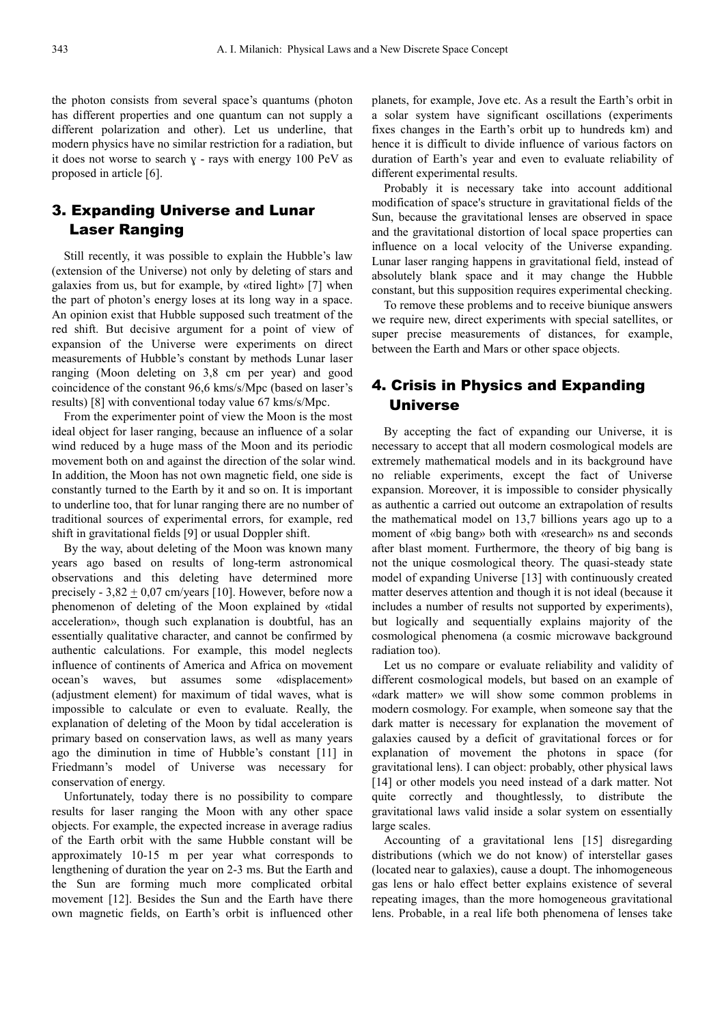the photon consists from several space's quantums (photon has different properties and one quantum can not supply a different polarization and other). Let us underline, that modern physics have no similar restriction for a radiation, but it does not worse to search  $y - rays$  with energy 100 PeV as proposed in article [6].

## 3. Expanding Universe and Lunar Laser Ranging

Still recently, it was possible to explain the Hubble's law (extension of the Universe) not only by deleting of stars and galaxies from us, but for example, by «tired light» [7] when the part of photon's energy loses at its long way in a space. An opinion exist that Hubble supposed such treatment of the red shift. But decisive argument for a point of view of expansion of the Universe were experiments on direct measurements of Hubble's constant by methods Lunar laser ranging (Moon deleting on 3,8 cm per year) and good coincidence of the constant 96,6 kms/s/Mpc (based on laser's results) [8] with conventional today value 67 kms/s/Mpc.

From the experimenter point of view the Moon is the most ideal object for laser ranging, because an influence of a solar wind reduced by a huge mass of the Moon and its periodic movement both on and against the direction of the solar wind. In addition, the Moon has not own magnetic field, one side is constantly turned to the Earth by it and so on. It is important to underline too, that for lunar ranging there are no number of traditional sources of experimental errors, for example, red shift in gravitational fields [9] or usual Doppler shift.

By the way, about deleting of the Moon was known many years ago based on results of long-term astronomical observations and this deleting have determined more precisely -  $3,82 \pm 0,07$  cm/years [10]. However, before now a phenomenon of deleting of the Moon explained by «tidal acceleration», though such explanation is doubtful, has an essentially qualitative character, and cannot be confirmed by authentic calculations. For example, this model neglects influence of continents of America and Africa on movement ocean's waves, but assumes some «displacement» (adjustment element) for maximum of tidal waves, what is impossible to calculate or even to evaluate. Really, the explanation of deleting of the Moon by tidal acceleration is primary based on conservation laws, as well as many years ago the diminution in time of Hubble's constant [11] in Friedmann's model of Universe was necessary for conservation of energy.

Unfortunately, today there is no possibility to compare results for laser ranging the Moon with any other space objects. For example, the expected increase in average radius of the Earth orbit with the same Hubble constant will be approximately 10-15 m per year what corresponds to lengthening of duration the year on 2-3 ms. But the Earth and the Sun are forming much more complicated orbital movement [12]. Besides the Sun and the Earth have there own magnetic fields, on Earth's orbit is influenced other

planets, for example, Jove etc. As a result the Earth's orbit in a solar system have significant oscillations (experiments fixes changes in the Earth's orbit up to hundreds km) and hence it is difficult to divide influence of various factors on duration of Earth's year and even to evaluate reliability of different experimental results.

Probably it is necessary take into account additional modification of space's structure in gravitational fields of the Sun, because the gravitational lenses are observed in space and the gravitational distortion of local space properties can influence on a local velocity of the Universe expanding. Lunar laser ranging happens in gravitational field, instead of absolutely blank space and it may change the Hubble constant, but this supposition requires experimental checking.

To remove these problems and to receive biunique answers we require new, direct experiments with special satellites, or super precise measurements of distances, for example, between the Earth and Mars or other space objects.

## 4. Crisis in Physics and Expanding Universe

By accepting the fact of expanding our Universe, it is necessary to accept that all modern cosmological models are extremely mathematical models and in its background have no reliable experiments, except the fact of Universe expansion. Moreover, it is impossible to consider physically as authentic a carried out outcome an extrapolation of results the mathematical model on 13,7 billions years ago up to a moment of «big bang» both with «research» ns and seconds after blast moment. Furthermore, the theory of big bang is not the unique cosmological theory. The quasi-steady state model of expanding Universe [13] with continuously created matter deserves attention and though it is not ideal (because it includes a number of results not supported by experiments), but logically and sequentially explains majority of the cosmological phenomena (a cosmic microwave background radiation too).

Let us no compare or evaluate reliability and validity of different cosmological models, but based on an example of «dark matter» we will show some common problems in modern cosmology. For example, when someone say that the dark matter is necessary for explanation the movement of galaxies caused by a deficit of gravitational forces or for explanation of movement the photons in space (for gravitational lens). I can object: probably, other physical laws [14] or other models you need instead of a dark matter. Not quite correctly and thoughtlessly, to distribute the gravitational laws valid inside a solar system on essentially large scales.

Accounting of a gravitational lens [15] disregarding distributions (which we do not know) of interstellar gases (located near to galaxies), cause a doupt. The inhomogeneous gas lens or halo effect better explains existence of several repeating images, than the more homogeneous gravitational lens. Probable, in a real life both phenomena of lenses take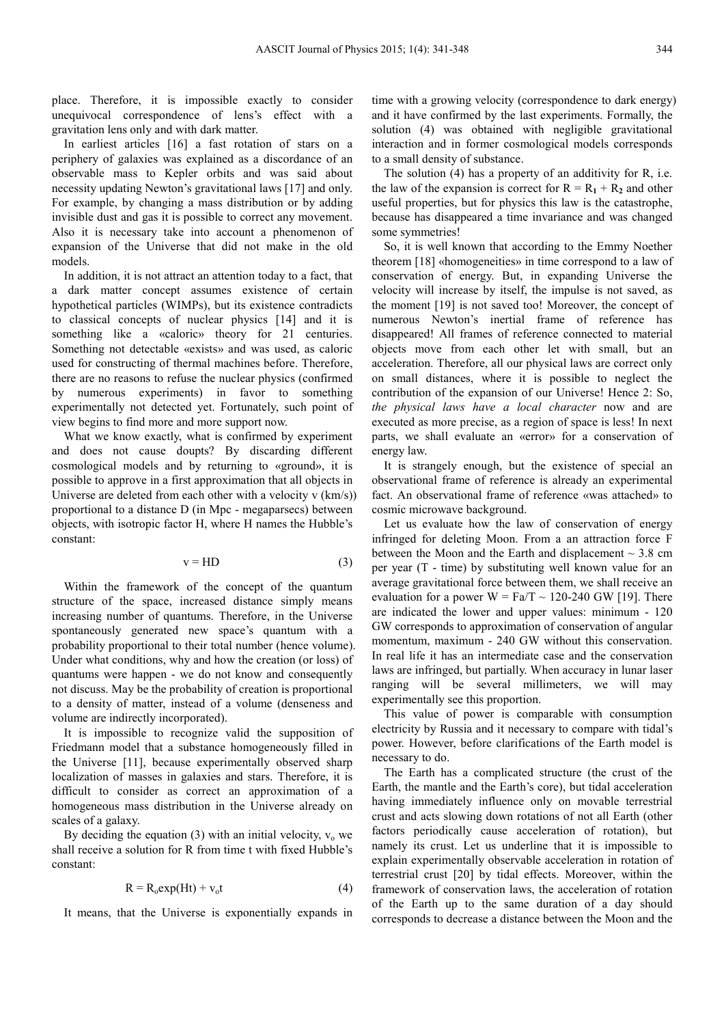place. Therefore, it is impossible exactly to consider unequivocal correspondence of lens's effect with a gravitation lens only and with dark matter.

In earliest articles [16] a fast rotation of stars on a periphery of galaxies was explained as a discordance of an observable mass to Kepler orbits and was said about necessity updating Newton's gravitational laws [17] and only. For example, by changing a mass distribution or by adding invisible dust and gas it is possible to correct any movement. Also it is necessary take into account a phenomenon of expansion of the Universe that did not make in the old models.

In addition, it is not attract an attention today to a fact, that a dark matter concept assumes existence of certain hypothetical particles (WIMPs), but its existence contradicts to classical concepts of nuclear physics [14] and it is something like a «caloric» theory for 21 centuries. Something not detectable «exists» and was used, as caloric used for constructing of thermal machines before. Therefore, there are no reasons to refuse the nuclear physics (confirmed by numerous experiments) in favor to something experimentally not detected yet. Fortunately, such point of view begins to find more and more support now.

What we know exactly, what is confirmed by experiment and does not cause doupts? By discarding different cosmological models and by returning to «ground», it is possible to approve in a first approximation that all objects in Universe are deleted from each other with a velocity v (km/s)) proportional to a distance D (in Mpc - megaparsecs) between objects, with isotropic factor H, where H names the Hubble's constant:

$$
v = HD
$$
 (3)

Within the framework of the concept of the quantum structure of the space, increased distance simply means increasing number of quantums. Therefore, in the Universe spontaneously generated new space's quantum with a probability proportional to their total number (hence volume). Under what conditions, why and how the creation (or loss) of quantums were happen - we do not know and consequently not discuss. May be the probability of creation is proportional to a density of matter, instead of a volume (denseness and volume are indirectly incorporated).

It is impossible to recognize valid the supposition of Friedmann model that a substance homogeneously filled in the Universe [11], because experimentally observed sharp localization of masses in galaxies and stars. Therefore, it is difficult to consider as correct an approximation of a homogeneous mass distribution in the Universe already on scales of a galaxy.

By deciding the equation (3) with an initial velocity,  $v_0$  we shall receive a solution for R from time t with fixed Hubble's constant:

$$
R = R_0 \exp(Ht) + v_0 t \tag{4}
$$

It means, that the Universe is exponentially expands in

time with a growing velocity (correspondence to dark energy) and it have confirmed by the last experiments. Formally, the solution (4) was obtained with negligible gravitational interaction and in former cosmological models corresponds to a small density of substance.

The solution (4) has a property of an additivity for R, i.e. the law of the expansion is correct for  $R = R_1 + R_2$  and other useful properties, but for physics this law is the catastrophe, because has disappeared a time invariance and was changed some symmetries!

So, it is well known that according to the Emmy Noether theorem [18] «homogeneities» in time correspond to a law of conservation of energy. But, in expanding Universe the velocity will increase by itself, the impulse is not saved, as the moment [19] is not saved too! Moreover, the concept of numerous Newton's inertial frame of reference has disappeared! All frames of reference connected to material objects move from each other let with small, but an acceleration. Therefore, all our physical laws are correct only on small distances, where it is possible to neglect the contribution of the expansion of our Universe! Hence 2: So, *the physical laws have a local character* now and are executed as more precise, as a region of space is less! In next parts, we shall evaluate an «error» for a conservation of energy law.

It is strangely enough, but the existence of special an observational frame of reference is already an experimental fact. An observational frame of reference «was attached» to cosmic microwave background.

Let us evaluate how the law of conservation of energy infringed for deleting Moon. From a an attraction force F between the Moon and the Earth and displacement  $\sim$  3.8 cm per year (T - time) by substituting well known value for an average gravitational force between them, we shall receive an evaluation for a power  $W = Fa/T \sim 120{\text -}240$  GW [19]. There are indicated the lower and upper values: minimum - 120 GW corresponds to approximation of conservation of angular momentum, maximum - 240 GW without this conservation. In real life it has an intermediate case and the conservation laws are infringed, but partially. When accuracy in lunar laser ranging will be several millimeters, we will may experimentally see this proportion.

This value of power is comparable with consumption electricity by Russia and it necessary to compare with tidal's power. However, before clarifications of the Earth model is necessary to do.

The Earth has a complicated structure (the crust of the Earth, the mantle and the Earth's core), but tidal acceleration having immediately influence only on movable terrestrial crust and acts slowing down rotations of not all Earth (other factors periodically cause acceleration of rotation), but namely its crust. Let us underline that it is impossible to explain experimentally observable acceleration in rotation of terrestrial crust [20] by tidal effects. Moreover, within the framework of conservation laws, the acceleration of rotation of the Earth up to the same duration of a day should corresponds to decrease a distance between the Moon and the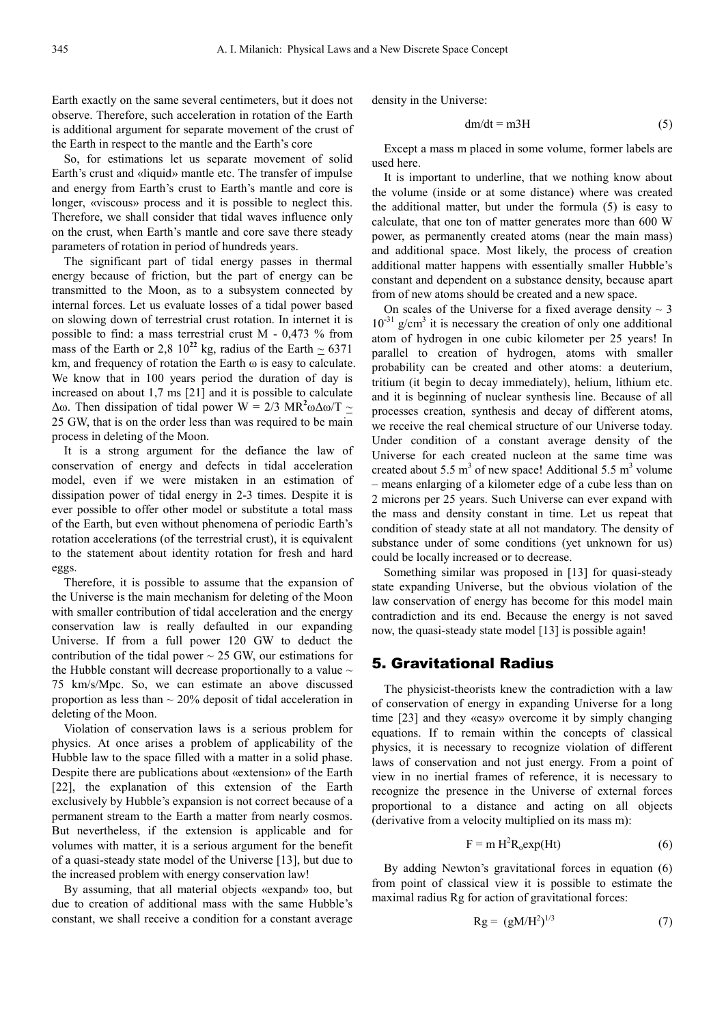Earth exactly on the same several centimeters, but it does not observe. Therefore, such acceleration in rotation of the Earth is additional argument for separate movement of the crust of the Earth in respect to the mantle and the Earth's core

So, for estimations let us separate movement of solid Earth's crust and «liquid» mantle etc. The transfer of impulse and energy from Earth's crust to Earth's mantle and core is longer, «viscous» process and it is possible to neglect this. Therefore, we shall consider that tidal waves influence only on the crust, when Earth's mantle and core save there steady parameters of rotation in period of hundreds years.

The significant part of tidal energy passes in thermal energy because of friction, but the part of energy can be transmitted to the Moon, as to a subsystem connected by internal forces. Let us evaluate losses of a tidal power based on slowing down of terrestrial crust rotation. In internet it is possible to find: a mass terrestrial crust M - 0,473 % from mass of the Earth or 2,8  $10^{22}$  kg, radius of the Earth  $\sim 6371$ km, and frequency of rotation the Earth ω is easy to calculate. We know that in 100 years period the duration of day is increased on about 1,7 ms [21] and it is possible to calculate  $\Delta$ ω. Then dissipation of tidal power W = 2/3 MR<sup>2</sup>ω $\Delta$ ω/T ~ 25 GW, that is on the order less than was required to be main process in deleting of the Moon.

It is a strong argument for the defiance the law of conservation of energy and defects in tidal acceleration model, even if we were mistaken in an estimation of dissipation power of tidal energy in 2-3 times. Despite it is ever possible to offer other model or substitute a total mass of the Earth, but even without phenomena of periodic Earth's rotation accelerations (of the terrestrial crust), it is equivalent to the statement about identity rotation for fresh and hard eggs.

Therefore, it is possible to assume that the expansion of the Universe is the main mechanism for deleting of the Moon with smaller contribution of tidal acceleration and the energy conservation law is really defaulted in our expanding Universe. If from a full power 120 GW to deduct the contribution of the tidal power  $\sim$  25 GW, our estimations for the Hubble constant will decrease proportionally to a value  $\sim$ 75 km/s/Mpc. So, we can estimate an above discussed proportion as less than  $\sim$  20% deposit of tidal acceleration in deleting of the Moon.

Violation of conservation laws is a serious problem for physics. At once arises a problem of applicability of the Hubble law to the space filled with a matter in a solid phase. Despite there are publications about «extension» of the Earth [22], the explanation of this extension of the Earth exclusively by Hubble's expansion is not correct because of a permanent stream to the Earth a matter from nearly cosmos. But nevertheless, if the extension is applicable and for volumes with matter, it is a serious argument for the benefit of a quasi-steady state model of the Universe [13], but due to the increased problem with energy conservation law!

By assuming, that all material objects «expand» too, but due to creation of additional mass with the same Hubble's constant, we shall receive a condition for a constant average

density in the Universe:

$$
dm/dt = m3H \tag{5}
$$

Except a mass m placed in some volume, former labels are used here.

It is important to underline, that we nothing know about the volume (inside or at some distance) where was created the additional matter, but under the formula (5) is easy to calculate, that one ton of matter generates more than 600 W power, as permanently created atoms (near the main mass) and additional space. Most likely, the process of creation additional matter happens with essentially smaller Hubble's constant and dependent on a substance density, because apart from of new atoms should be created and a new space.

On scales of the Universe for a fixed average density  $\sim$  3 10**-**<sup>31</sup> g/cm<sup>3</sup> it is necessary the creation of only one additional atom of hydrogen in one cubic kilometer per 25 years! In parallel to creation of hydrogen, atoms with smaller probability can be created and other atoms: a deuterium, tritium (it begin to decay immediately), helium, lithium etc. and it is beginning of nuclear synthesis line. Because of all processes creation, synthesis and decay of different atoms, we receive the real chemical structure of our Universe today. Under condition of a constant average density of the Universe for each created nucleon at the same time was created about 5.5  $m<sup>3</sup>$  of new space! Additional 5.5  $m<sup>3</sup>$  volume – means enlarging of a kilometer edge of a cube less than on 2 microns per 25 years. Such Universe can ever expand with the mass and density constant in time. Let us repeat that condition of steady state at all not mandatory. The density of substance under of some conditions (yet unknown for us) could be locally increased or to decrease.

Something similar was proposed in [13] for quasi-steady state expanding Universe, but the obvious violation of the law conservation of energy has become for this model main contradiction and its end. Because the energy is not saved now, the quasi-steady state model [13] is possible again!

#### 5. Gravitational Radius

The physicist-theorists knew the contradiction with a law of conservation of energy in expanding Universe for a long time [23] and they «easy» overcome it by simply changing equations. If to remain within the concepts of classical physics, it is necessary to recognize violation of different laws of conservation and not just energy. From a point of view in no inertial frames of reference, it is necessary to recognize the presence in the Universe of external forces proportional to a distance and acting on all objects (derivative from a velocity multiplied on its mass m):

$$
F = m H^2 R_0 exp(Ht)
$$
 (6)

By adding Newton's gravitational forces in equation (6) from point of classical view it is possible to estimate the maximal radius Rg for action of gravitational forces:

$$
Rg = (gM/H^2)^{1/3}
$$
 (7)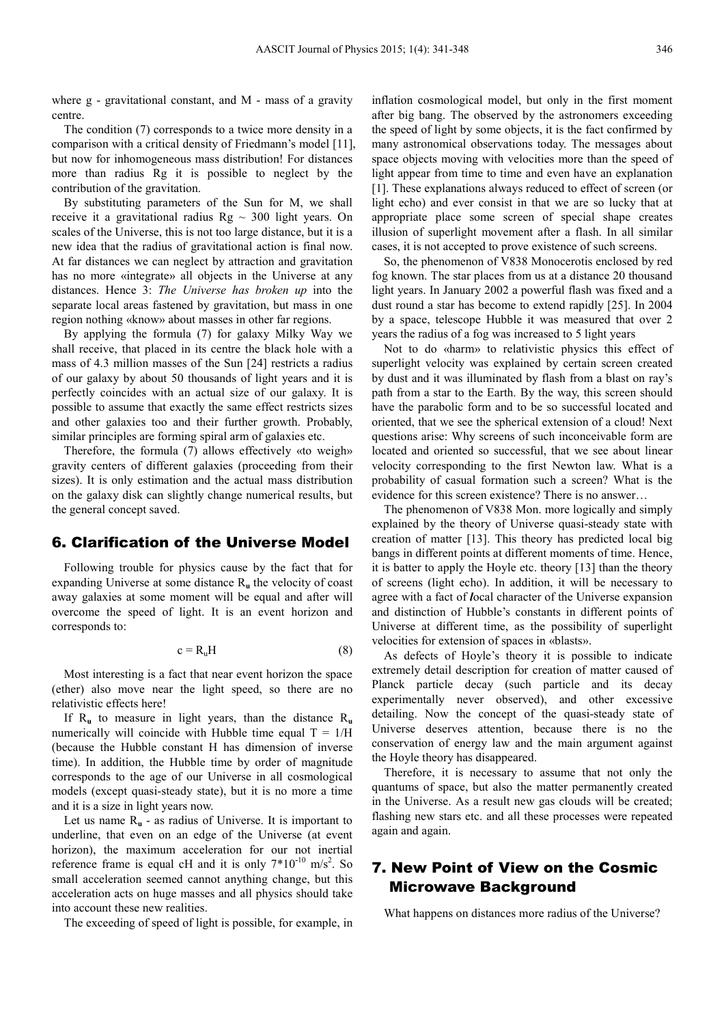where g - gravitational constant, and M - mass of a gravity centre.

The condition (7) corresponds to a twice more density in a comparison with a critical density of Friedmann's model [11], but now for inhomogeneous mass distribution! For distances more than radius Rg it is possible to neglect by the contribution of the gravitation.

By substituting parameters of the Sun for М, we shall receive it a gravitational radius  $Rg \sim 300$  light years. On scales of the Universe, this is not too large distance, but it is a new idea that the radius of gravitational action is final now. At far distances we can neglect by attraction and gravitation has no more «integrate» all objects in the Universe at any distances. Hence 3: *The Universe has broken up* into the separate local areas fastened by gravitation, but mass in one region nothing «know» about masses in other far regions.

By applying the formula (7) for galaxy Milky Way we shall receive, that placed in its centre the black hole with a mass of 4.3 million masses of the Sun [24] restricts a radius of our galaxy by about 50 thousands of light years and it is perfectly coincides with an actual size of our galaxy. It is possible to assume that exactly the same effect restricts sizes and other galaxies too and their further growth. Probably, similar principles are forming spiral arm of galaxies etc.

Therefore, the formula (7) allows effectively «to weigh» gravity centers of different galaxies (proceeding from their sizes). It is only estimation and the actual mass distribution on the galaxy disk can slightly change numerical results, but the general concept saved.

#### 6. Clarification of the Universe Model

Following trouble for physics cause by the fact that for expanding Universe at some distance R**u** the velocity of coast away galaxies at some moment will be equal and after will overcome the speed of light. It is an event horizon and corresponds to:

$$
c = R_u H \tag{8}
$$

Most interesting is a fact that near event horizon the space (ether) also move near the light speed, so there are no relativistic effects here!

If R**u** to measure in light years, than the distance R**<sup>u</sup>** numerically will coincide with Hubble time equal  $T = 1/H$ (because the Hubble constant Н has dimension of inverse time). In addition, the Hubble time by order of magnitude corresponds to the age of our Universe in all cosmological models (except quasi-steady state), but it is no more a time and it is a size in light years now.

Let us name  $R_u$  - as radius of Universe. It is important to underline, that even on an edge of the Universe (at event horizon), the maximum acceleration for our not inertial reference frame is equal cH and it is only  $7*10^{-10}$  m/s<sup>2</sup>. So small acceleration seemed cannot anything change, but this acceleration acts on huge masses and all physics should take into account these new realities.

The exceeding of speed of light is possible, for example, in

inflation cosmological model, but only in the first moment after big bang. The observed by the astronomers exceeding the speed of light by some objects, it is the fact confirmed by many astronomical observations today. The messages about space objects moving with velocities more than the speed of light appear from time to time and even have an explanation [1]. These explanations always reduced to effect of screen (or light echo) and ever consist in that we are so lucky that at appropriate place some screen of special shape creates illusion of superlight movement after a flash. In all similar cases, it is not accepted to prove existence of such screens.

So, the phenomenon of V838 Monocerotis enclosed by red fog known. The star places from us at a distance 20 thousand light years. In January 2002 a powerful flash was fixed and a dust round a star has become to extend rapidly [25]. In 2004 by a space, telescope Hubble it was measured that over 2 years the radius of a fog was increased to 5 light years

Not to do «harm» to relativistic physics this effect of superlight velocity was explained by certain screen created by dust and it was illuminated by flash from a blast on ray's path from a star to the Earth. By the way, this screen should have the parabolic form and to be so successful located and oriented, that we see the spherical extension of a cloud! Next questions arise: Why screens of such inconceivable form are located and oriented so successful, that we see about linear velocity corresponding to the first Newton law. What is a probability of casual formation such a screen? What is the evidence for this screen existence? There is no answer…

The phenomenon of V838 Mon. more logically and simply explained by the theory of Universe quasi-steady state with creation of matter [13]. This theory has predicted local big bangs in different points at different moments of time. Hence, it is batter to apply the Hoyle etc. theory [13] than the theory of screens (light echo). In addition, it will be necessary to agree with a fact of *l*ocal character of the Universe expansion and distinction of Hubble's constants in different points of Universe at different time, as the possibility of superlight velocities for extension of spaces in «blasts».

As defects of Hoyle's theory it is possible to indicate extremely detail description for creation of matter caused of Planck partiсle decay (such partiсle and its decay experimentally never observed), and other excessive detailing. Now the concept of the quasi-steady state of Universe deserves attention, because there is no the conservation of energy law and the main argument against the Hoyle theory has disappeared.

Therefore, it is necessary to assume that not only the quantums of space, but also the matter permanently created in the Universe. As a result new gas clouds will be created; flashing new stars etc. and all these processes were repeated again and again.

## 7. New Point of View on the Cosmic Microwave Background

What happens on distances more radius of the Universe?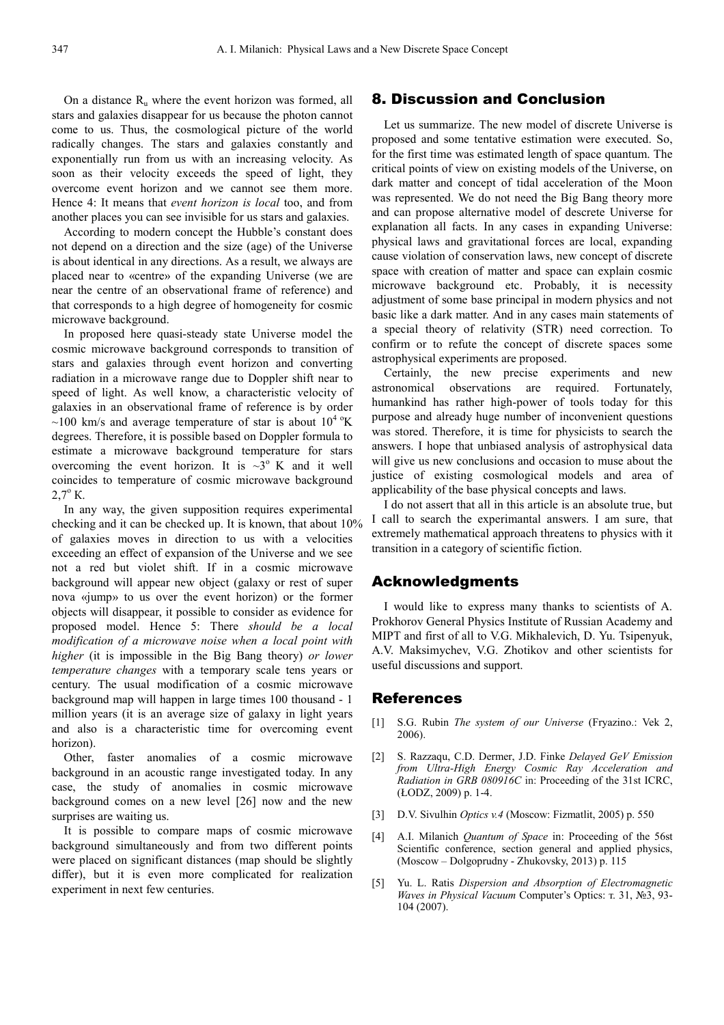On a distance  $R_{\text{u}}$  where the event horizon was formed, all stars and galaxies disappear for us because the photon cannot come to us. Thus, the cosmological picture of the world radically changes. The stars and galaxies constantly and exponentially run from us with an increasing velocity. As soon as their velocity exceeds the speed of light, they overcome event horizon and we cannot see them more. Hence 4: It means that *event horizon is local* too, and from another places you can see invisible for us stars and galaxies.

According to modern concept the Hubble's constant does not depend on a direction and the size (age) of the Universe is about identical in any directions. As a result, we always are placed near to «centre» of the expanding Universe (we are near the centre of an observational frame of reference) and that corresponds to a high degree of homogeneity for cosmic microwave background.

In proposed here quasi-steady state Universe model the cosmic microwave background corresponds to transition of stars and galaxies through event horizon and converting radiation in a microwave range due to Doppler shift near to speed of light. As well know, a characteristic velocity of galaxies in an observational frame of reference is by order ~100 km/s and average temperature of star is about  $10^{4}$  °K degrees. Therefore, it is possible based on Doppler formula to estimate a microwave background temperature for stars overcoming the event horizon. It is  $\sim 3^{\circ}$  K and it well coincides to temperature of cosmic microwave background  $2,7^{\circ}$  K.

In any way, the given supposition requires experimental checking and it can be checked up. It is known, that about 10% of galaxies moves in direction to us with a velocities exceeding an effect of expansion of the Universe and we see not a red but violet shift. If in a cosmic microwave background will appear new object (galaxy or rest of super nova «jump» to us over the event horizon) or the former objects will disappear, it possible to consider as evidence for proposed model. Hence 5: There *should be a local modification of a microwave noise when a local point with higher* (it is impossible in the Big Bang theory) *or lower temperature changes* with a temporary scale tens years or century. The usual modification of a cosmic microwave background map will happen in large times 100 thousand - 1 million years (it is an average size of galaxy in light years and also is a characteristic time for overcoming event horizon).

Other, faster anomalies of a cosmic microwave background in an acoustic range investigated today. In any case, the study of anomalies in cosmic microwave background comes on a new level [26] now and the new surprises are waiting us.

It is possible to compare maps of cosmic microwave background simultaneously and from two different points were placed on significant distances (map should be slightly differ), but it is even more complicated for realization experiment in next few centuries.

#### 8. Discussion and Conclusion

Let us summarize. The new model of discrete Universe is proposed and some tentative estimation were executed. So, for the first time was estimated length of space quantum. The critical points of view on existing models of the Universe, on dark matter and concept of tidal acceleration of the Moon was represented. We do not need the Big Bang theory more and can propose alternative model of descrete Universe for explanation all facts. In any cases in expanding Universe: physical laws and gravitational forces are local, expanding cause violation of conservation laws, new concept of discrete space with creation of matter and space can explain cosmic microwave background etc. Probably, it is necessity adjustment of some base principal in modern physics and not basic like a dark matter. And in any cases main statements of a special theory of relativity (STR) need correction. To confirm or to refute the concept of discrete spaces some astrophysical experiments are proposed.

Certainly, the new precise experiments and new astronomical observations are required. Fortunately, humankind has rather high-power of tools today for this purpose and already huge number of inconvenient questions was stored. Therefore, it is time for physicists to search the answers. I hope that unbiased analysis of astrophysical data will give us new conclusions and occasion to muse about the justice of existing cosmological models and area of applicability of the base physical concepts and laws.

I do not assert that all in this article is an absolute true, but I call to search the experimantal answers. I am sure, that extremely mathematical approach threatens to physics with it transition in a category of scientific fiction.

#### Acknowledgments

I would like to express many thanks to scientists of A. Prokhorov General Physics Institute of Russian Academy and MIPT and first of all to V.G. Mikhalevich, D. Yu. Tsipenyuk, A.V. Maksimychev, V.G. Zhotikov and other scientists for useful discussions and support.

#### References

- [1] S.G. Rubin *The system of our Universe* (Fryazino.: Vek 2, 2006).
- [2] S. Razzaqu, C.D. Dermer, J.D. Finke *Delayed GeV Emission from Ultra-High Energy Cosmic Ray Acceleration and Radiation in GRB 080916C* in: Proceeding of the 31st ICRC, (ŁODZ, 2009) p. 1-4.
- [3] D.V. Sivulhin *Optics v.4* (Moscow: Fizmatlit, 2005) p. 550
- [4] A.I. Milanich *Quantum of Space* in: Proceeding of the 56st Scientific conference, section general and applied physics, (Moscow – Dolgoprudny - Zhukovsky, 2013) p. 115
- [5] Yu. L. Ratis *Dispersion and Absorption of Electromagnetic Waves in Physical Vacuum* Computer's Optics: т. 31, №3, 93- 104 (2007).